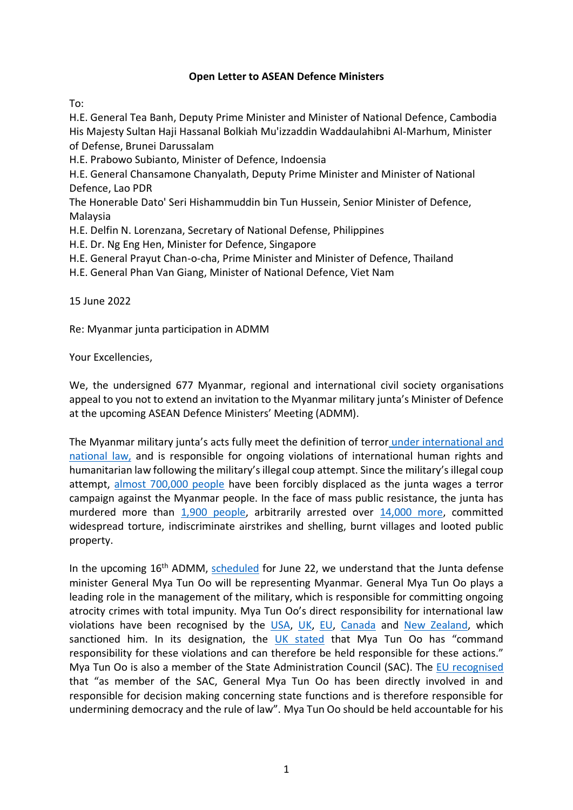## **Open Letter to ASEAN Defence Ministers**

To:

H.E. General Tea Banh, Deputy Prime Minister and Minister of National Defence, Cambodia His Majesty Sultan Haji Hassanal Bolkiah Mu'izzaddin Waddaulahibni Al-Marhum, Minister of Defense, Brunei Darussalam

H.E. Prabowo Subianto, Minister of Defence, Indoensia

H.E. General Chansamone Chanyalath, Deputy Prime Minister and Minister of National Defence, Lao PDR

The Honerable Dato' Seri Hishammuddin bin Tun Hussein, Senior Minister of Defence, Malaysia

H.E. Delfin N. Lorenzana, Secretary of National Defense, Philippines

H.E. Dr. Ng Eng Hen, Minister for Defence, Singapore

H.E. General Prayut Chan-o-cha, Prime Minister and Minister of Defence, Thailand

H.E. General Phan Van Giang, Minister of National Defence, Viet Nam

15 June 2022

Re: Myanmar junta participation in ADMM

Your Excellencies,

We, the undersigned 677 Myanmar, regional and international civil society organisations appeal to you not to extend an invitation to the Myanmar military junta's Minister of Defence at the upcoming ASEAN Defence Ministers' Meeting (ADMM).

The Myanmar military junta's acts fully meet the definition of terror under [international and](https://specialadvisorycouncil.org/2021/12/briefing-paper-the-myanmar-military-is-a-terrorist-organisation-under-law/)  [national](https://specialadvisorycouncil.org/2021/12/briefing-paper-the-myanmar-military-is-a-terrorist-organisation-under-law/) law, and is responsible for ongoing violations of international human rights and humanitarian law following the military's illegal coup attempt. Since the military's illegal coup attempt, [almost 700,000 people](https://reliefweb.int/report/myanmar/myanmar-humanitarian-update-no-18-31-may-2022) have been forcibly displaced as the junta wages a terror campaign against the Myanmar people. In the face of mass public resistance, the junta has murdered more than 1,900 [people,](https://aappb.org/?p=21794) arbitrarily arrested over [14,000](https://aappb.org/?p=21794) more, committed widespread torture, indiscriminate airstrikes and shelling, burnt villages and looted public property.

In the upcoming 16<sup>th</sup> ADMM, [scheduled](https://admm.asean.org/index.php/events/current-calendar-year.html) for June 22, we understand that the Junta defense minister General Mya Tun Oo will be representing Myanmar. General Mya Tun Oo plays a leading role in the management of the military, which is responsible for committing ongoing atrocity crimes with total impunity. Mya Tun Oo's direct responsibility for international law violations have been recognised by the [USA,](https://home.treasury.gov/news/press-releases/jy0024) [UK,](https://assets.publishing.service.gov.uk/government/uploads/system/uploads/attachment_data/file/1063489/Myanmar.pdf) [EU,](https://eur-lex.europa.eu/legal-content/EN/TXT/HTML/?uri=CELEX:32021R0480&rid=1) [Canada](https://www.canada.ca/en/global-affairs/news/2021/02/myanmar-sanctions.html) and [New Zealand,](https://www.mfat.govt.nz/en/media-and-resources/implementation-of-a-travel-ban-on-myanmars-military-leaders/) which sanctioned him. In its designation, the [UK stated](https://assets.publishing.service.gov.uk/government/uploads/system/uploads/attachment_data/file/1063489/Myanmar.pdf) that Mya Tun Oo has "command responsibility for these violations and can therefore be held responsible for these actions." Mya Tun Oo is also a member of the State Administration Council (SAC). The [EU recognised](https://eur-lex.europa.eu/legal-content/EN/TXT/HTML/?uri=CELEX:32021R0480&rid=1) that "as member of the SAC, General Mya Tun Oo has been directly involved in and responsible for decision making concerning state functions and is therefore responsible for undermining democracy and the rule of law". Mya Tun Oo should be held accountable for his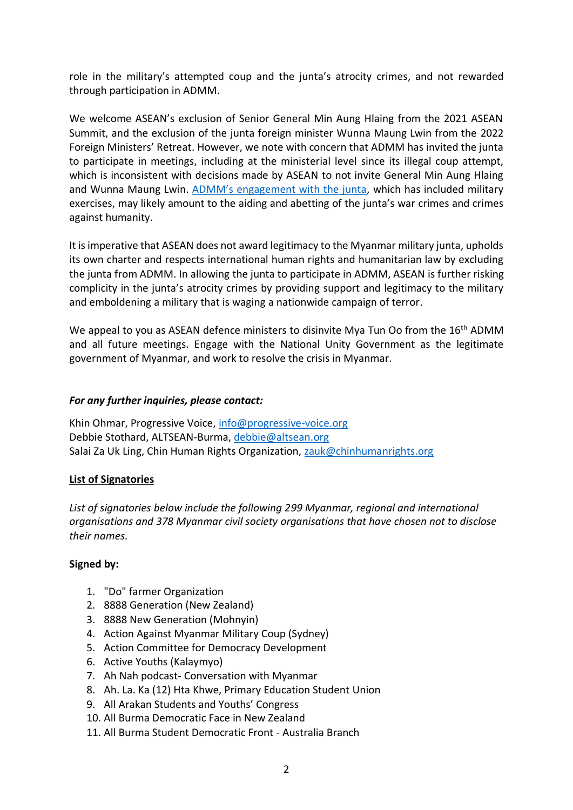role in the military's attempted coup and the junta's atrocity crimes, and not rewarded through participation in ADMM.

We welcome ASEAN's exclusion of Senior General Min Aung Hlaing from the 2021 ASEAN Summit, and the exclusion of the junta foreign minister Wunna Maung Lwin from the 2022 Foreign Ministers' Retreat. However, we note with concern that ADMM has invited the junta to participate in meetings, including at the ministerial level since its illegal coup attempt, which is inconsistent with decisions made by ASEAN to not invite General Min Aung Hlaing and Wunna Maung Lwin. ADMM's [engagement with the junta,](https://www.justiceformyanmar.org/stories/aseans-complicity-in-the-myanmar-militarys-atrocity-crimes) which has included military exercises, may likely amount to the aiding and abetting of the junta's war crimes and crimes against humanity.

It is imperative that ASEAN does not award legitimacy to the Myanmar military junta, upholds its own charter and respects international human rights and humanitarian law by excluding the junta from ADMM. In allowing the junta to participate in ADMM, ASEAN is further risking complicity in the junta's atrocity crimes by providing support and legitimacy to the military and emboldening a military that is waging a nationwide campaign of terror.

We appeal to you as ASEAN defence ministers to disinvite Mya Tun Oo from the 16<sup>th</sup> ADMM and all future meetings. Engage with the National Unity Government as the legitimate government of Myanmar, and work to resolve the crisis in Myanmar.

## *For any further inquiries, please contact:*

Khin Ohmar, Progressive Voice, [info@progressive-voice.org](mailto:info@progressive-voice.org) Debbie Stothard, ALTSEAN-Burma, [debbie@altsean.org](mailto:debbie@altsean.org) Salai Za Uk Ling, Chin Human Rights Organization, [zauk@chinhumanrights.org](mailto:zauk@chinhumanrights.org)

## **List of Signatories**

*List of signatories below include the following 299 Myanmar, regional and international organisations and 378 Myanmar civil society organisations that have chosen not to disclose their names.*

## **Signed by:**

- 1. "Do" farmer Organization
- 2. 8888 Generation (New Zealand)
- 3. 8888 New Generation (Mohnyin)
- 4. Action Against Myanmar Military Coup (Sydney)
- 5. Action Committee for Democracy Development
- 6. Active Youths (Kalaymyo)
- 7. Ah Nah podcast- Conversation with Myanmar
- 8. Ah. La. Ka (12) Hta Khwe, Primary Education Student Union
- 9. All Arakan Students and Youths' Congress
- 10. All Burma Democratic Face in New Zealand
- 11. All Burma Student Democratic Front Australia Branch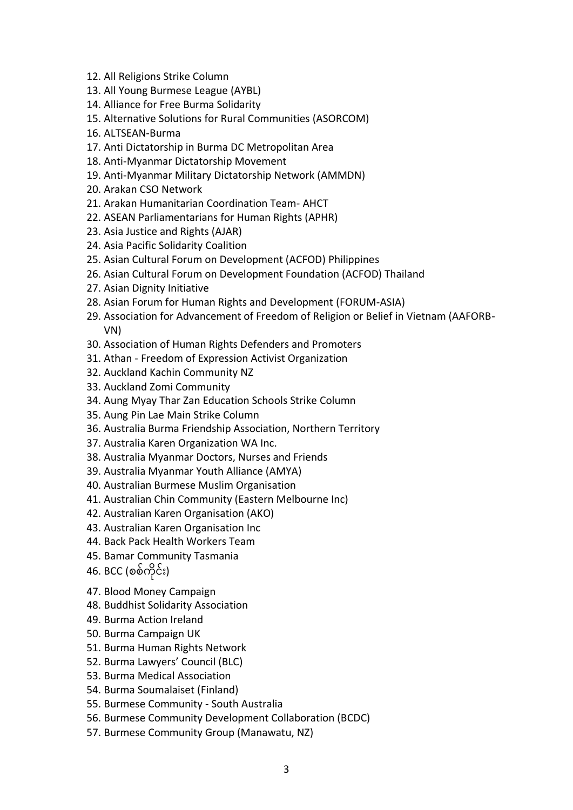- 12. All Religions Strike Column
- 13. All Young Burmese League (AYBL)
- 14. Alliance for Free Burma Solidarity
- 15. Alternative Solutions for Rural Communities (ASORCOM)
- 16. ALTSEAN-Burma
- 17. Anti Dictatorship in Burma DC Metropolitan Area
- 18. Anti-Myanmar Dictatorship Movement
- 19. Anti-Myanmar Military Dictatorship Network (AMMDN)
- 20. Arakan CSO Network
- 21. Arakan Humanitarian Coordination Team- AHCT
- 22. ASEAN Parliamentarians for Human Rights (APHR)
- 23. Asia Justice and Rights (AJAR)
- 24. Asia Pacific Solidarity Coalition
- 25. Asian Cultural Forum on Development (ACFOD) Philippines
- 26. Asian Cultural Forum on Development Foundation (ACFOD) Thailand
- 27. Asian Dignity Initiative
- 28. Asian Forum for Human Rights and Development (FORUM-ASIA)
- 29. Association for Advancement of Freedom of Religion or Belief in Vietnam (AAFORB-VN)
- 30. Association of Human Rights Defenders and Promoters
- 31. Athan Freedom of Expression Activist Organization
- 32. Auckland Kachin Community NZ
- 33. Auckland Zomi Community
- 34. Aung Myay Thar Zan Education Schools Strike Column
- 35. Aung Pin Lae Main Strike Column
- 36. Australia Burma Friendship Association, Northern Territory
- 37. Australia Karen Organization WA Inc.
- 38. Australia Myanmar Doctors, Nurses and Friends
- 39. Australia Myanmar Youth Alliance (AMYA)
- 40. Australian Burmese Muslim Organisation
- 41. Australian Chin Community (Eastern Melbourne Inc)
- 42. Australian Karen Organisation (AKO)
- 43. Australian Karen Organisation Inc
- 44. Back Pack Health Workers Team
- 45. Bamar Community Tasmania
- 46. BCC (စစ်ကိုင်း)
- 47. Blood Money Campaign
- 48. Buddhist Solidarity Association
- 49. Burma Action Ireland
- 50. Burma Campaign UK
- 51. Burma Human Rights Network
- 52. Burma Lawyers' Council (BLC)
- 53. Burma Medical Association
- 54. Burma Soumalaiset (Finland)
- 55. Burmese Community South Australia
- 56. Burmese Community Development Collaboration (BCDC)
- 57. Burmese Community Group (Manawatu, NZ)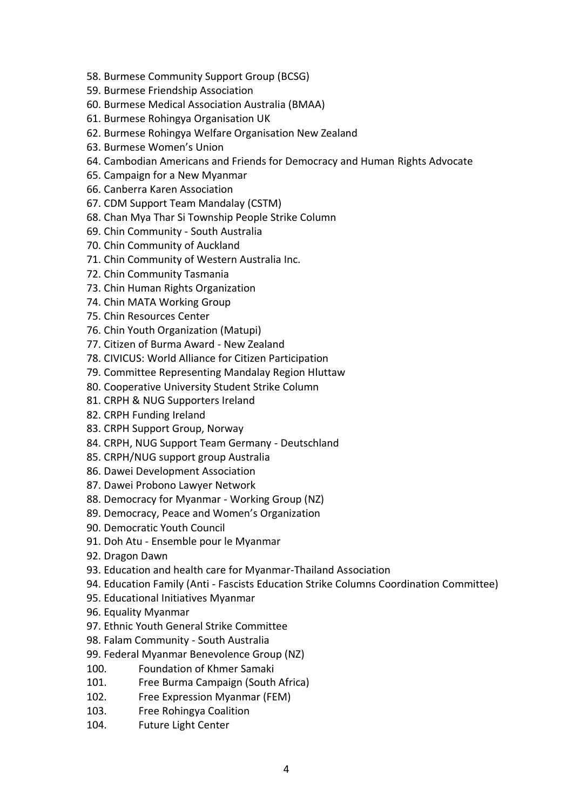- 58. Burmese Community Support Group (BCSG)
- 59. Burmese Friendship Association
- 60. Burmese Medical Association Australia (BMAA)
- 61. Burmese Rohingya Organisation UK
- 62. Burmese Rohingya Welfare Organisation New Zealand
- 63. Burmese Women's Union
- 64. Cambodian Americans and Friends for Democracy and Human Rights Advocate
- 65. Campaign for a New Myanmar
- 66. Canberra Karen Association
- 67. CDM Support Team Mandalay (CSTM)
- 68. Chan Mya Thar Si Township People Strike Column
- 69. Chin Community South Australia
- 70. Chin Community of Auckland
- 71. Chin Community of Western Australia Inc.
- 72. Chin Community Tasmania
- 73. Chin Human Rights Organization
- 74. Chin MATA Working Group
- 75. Chin Resources Center
- 76. Chin Youth Organization (Matupi)
- 77. Citizen of Burma Award New Zealand
- 78. CIVICUS: World Alliance for Citizen Participation
- 79. Committee Representing Mandalay Region Hluttaw
- 80. Cooperative University Student Strike Column
- 81. CRPH & NUG Supporters Ireland
- 82. CRPH Funding Ireland
- 83. CRPH Support Group, Norway
- 84. CRPH, NUG Support Team Germany Deutschland
- 85. CRPH/NUG support group Australia
- 86. Dawei Development Association
- 87. Dawei Probono Lawyer Network
- 88. Democracy for Myanmar Working Group (NZ)
- 89. Democracy, Peace and Women's Organization
- 90. Democratic Youth Council
- 91. Doh Atu Ensemble pour le Myanmar
- 92. Dragon Dawn
- 93. Education and health care for Myanmar-Thailand Association
- 94. Education Family (Anti Fascists Education Strike Columns Coordination Committee)
- 95. Educational Initiatives Myanmar
- 96. Equality Myanmar
- 97. Ethnic Youth General Strike Committee
- 98. Falam Community South Australia
- 99. Federal Myanmar Benevolence Group (NZ)
- 100. Foundation of Khmer Samaki
- 101. Free Burma Campaign (South Africa)
- 102. Free Expression Myanmar (FEM)
- 103. Free Rohingya Coalition
- 104. Future Light Center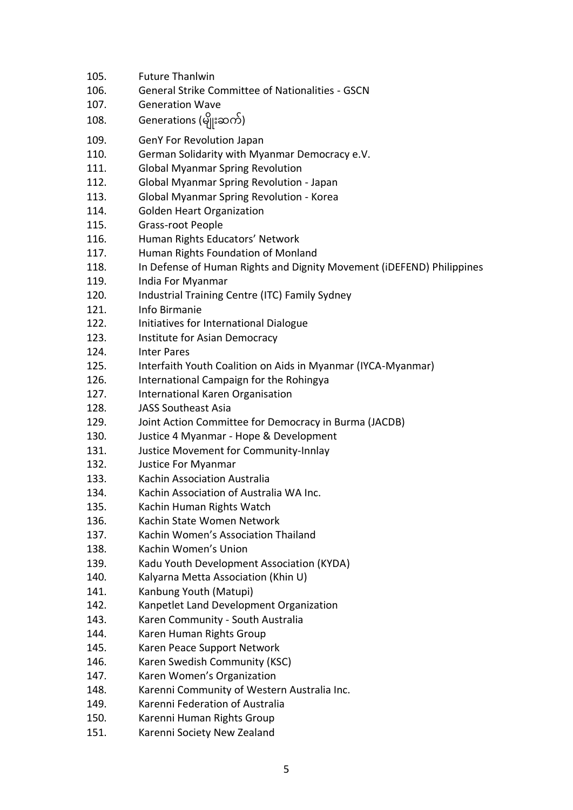| 105. | <b>Future Thanlwin</b>                                                |
|------|-----------------------------------------------------------------------|
| 106. | <b>General Strike Committee of Nationalities - GSCN</b>               |
| 107. | <b>Generation Wave</b>                                                |
| 108. | Generations (မျိုးဆက်)                                                |
| 109. | <b>GenY For Revolution Japan</b>                                      |
| 110. | German Solidarity with Myanmar Democracy e.V.                         |
| 111. | <b>Global Myanmar Spring Revolution</b>                               |
| 112. | Global Myanmar Spring Revolution - Japan                              |
| 113. | Global Myanmar Spring Revolution - Korea                              |
| 114. | <b>Golden Heart Organization</b>                                      |
| 115. | Grass-root People                                                     |
| 116. | Human Rights Educators' Network                                       |
| 117. | Human Rights Foundation of Monland                                    |
| 118. | In Defense of Human Rights and Dignity Movement (iDEFEND) Philippines |
| 119. | India For Myanmar                                                     |
| 120. | Industrial Training Centre (ITC) Family Sydney                        |
| 121. | Info Birmanie                                                         |
| 122. | Initiatives for International Dialogue                                |
| 123. | Institute for Asian Democracy                                         |
| 124. | <b>Inter Pares</b>                                                    |
| 125. | Interfaith Youth Coalition on Aids in Myanmar (IYCA-Myanmar)          |
| 126. | International Campaign for the Rohingya                               |
| 127. | International Karen Organisation                                      |
| 128. | <b>JASS Southeast Asia</b>                                            |
| 129. | Joint Action Committee for Democracy in Burma (JACDB)                 |
| 130. | Justice 4 Myanmar - Hope & Development                                |
| 131. | Justice Movement for Community-Innlay                                 |
| 132. | Justice For Myanmar                                                   |
| 133. | Kachin Association Australia                                          |
| 134. | Kachin Association of Australia WA Inc.                               |
| 135. | Kachin Human Rights Watch                                             |
| 136. | Kachin State Women Network                                            |
| 137. | Kachin Women's Association Thailand                                   |
| 138. | Kachin Women's Union                                                  |
| 139. | Kadu Youth Development Association (KYDA)                             |
| 140. | Kalyarna Metta Association (Khin U)                                   |
| 141. | Kanbung Youth (Matupi)                                                |
| 142. | Kanpetlet Land Development Organization                               |
| 143. | Karen Community - South Australia                                     |
| 144. | Karen Human Rights Group                                              |
| 145. | Karen Peace Support Network                                           |
| 146. | Karen Swedish Community (KSC)                                         |
| 147. | Karen Women's Organization                                            |
| 148. | Karenni Community of Western Australia Inc.                           |
| 149. | Karenni Federation of Australia                                       |
| 150. | Karenni Human Rights Group                                            |
| 151. | Karenni Society New Zealand                                           |
|      |                                                                       |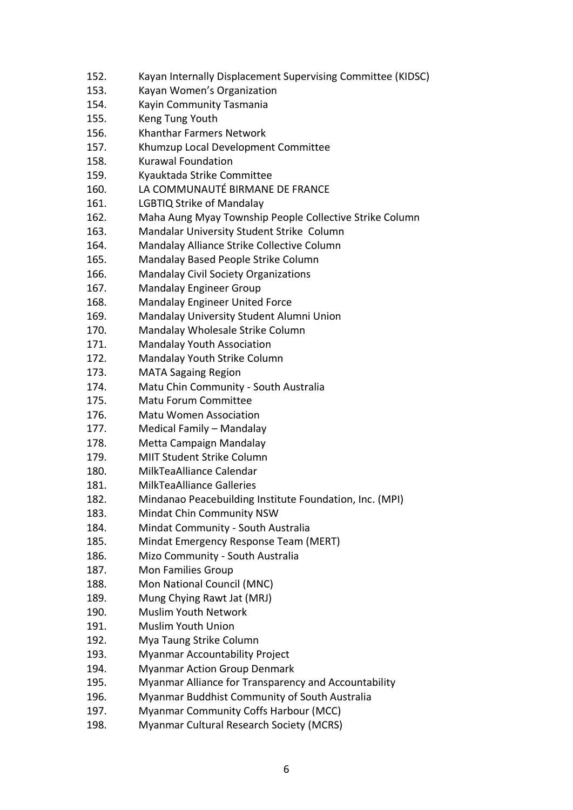- 152. Kayan Internally Displacement Supervising Committee (KIDSC)
- 153. Kayan Women's Organization
- 154. Kayin Community Tasmania
- 155. Keng Tung Youth
- 156. Khanthar Farmers Network
- 157. Khumzup Local Development Committee
- 158. Kurawal Foundation
- 159. Kyauktada Strike Committee
- 160. LA COMMUNAUTÉ BIRMANE DE FRANCE
- 161. LGBTIQ Strike of Mandalay
- 162. Maha Aung Myay Township People Collective Strike Column
- 163. Mandalar University Student Strike Column
- 164. Mandalay Alliance Strike Collective Column
- 165. Mandalay Based People Strike Column
- 166. Mandalay Civil Society Organizations
- 167. Mandalay Engineer Group
- 168. Mandalay Engineer United Force
- 169. Mandalay University Student Alumni Union
- 170. Mandalay Wholesale Strike Column
- 171. Mandalay Youth Association
- 172. Mandalay Youth Strike Column
- 173. MATA Sagaing Region
- 174. Matu Chin Community South Australia
- 175. Matu Forum Committee
- 176. Matu Women Association
- 177. Medical Family Mandalay
- 178. Metta Campaign Mandalay
- 179. MIIT Student Strike Column
- 180. MilkTeaAlliance Calendar
- 181. MilkTeaAlliance Galleries
- 182. Mindanao Peacebuilding Institute Foundation, Inc. (MPI)
- 183. Mindat Chin Community NSW
- 184. Mindat Community South Australia
- 185. Mindat Emergency Response Team (MERT)
- 186. Mizo Community South Australia
- 187. Mon Families Group
- 188. Mon National Council (MNC)
- 189. Mung Chying Rawt Jat (MRJ)
- 190. Muslim Youth Network
- 191. Muslim Youth Union
- 192. Mya Taung Strike Column
- 193. Myanmar Accountability Project
- 194. Myanmar Action Group Denmark
- 195. Myanmar Alliance for Transparency and Accountability
- 196. Myanmar Buddhist Community of South Australia
- 197. Myanmar Community Coffs Harbour (MCC)
- 198. Myanmar Cultural Research Society (MCRS)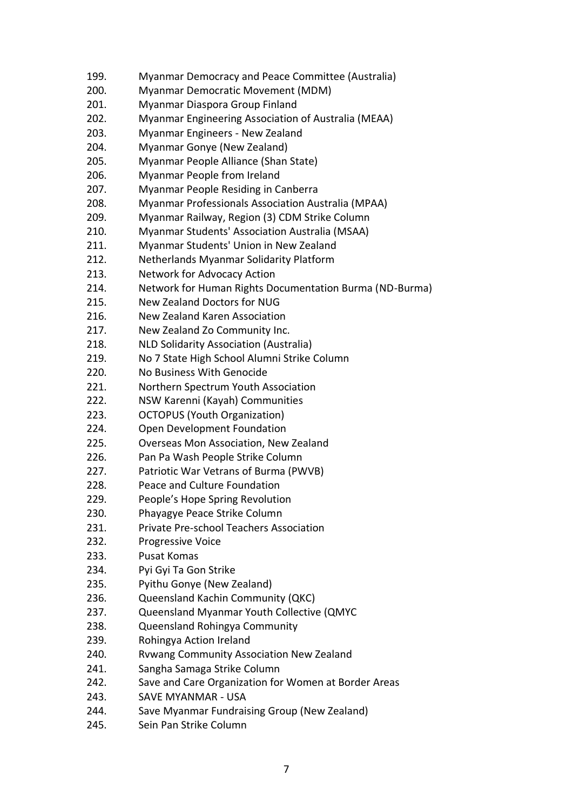- 199. Myanmar Democracy and Peace Committee (Australia)
- 200. Myanmar Democratic Movement (MDM)
- 201. Myanmar Diaspora Group Finland
- 202. Myanmar Engineering Association of Australia (MEAA)
- 203. Myanmar Engineers New Zealand
- 204. Myanmar Gonye (New Zealand)
- 205. Myanmar People Alliance (Shan State)
- 206. Myanmar People from Ireland
- 207. Myanmar People Residing in Canberra
- 208. Myanmar Professionals Association Australia (MPAA)
- 209. Myanmar Railway, Region (3) CDM Strike Column
- 210. Myanmar Students' Association Australia (MSAA)
- 211. Myanmar Students' Union in New Zealand
- 212. Netherlands Myanmar Solidarity Platform
- 213. Network for Advocacy Action
- 214. Network for Human Rights Documentation Burma (ND-Burma)
- 215. New Zealand Doctors for NUG
- 216. New Zealand Karen Association
- 217. New Zealand Zo Community Inc.
- 218. NLD Solidarity Association (Australia)
- 219. No 7 State High School Alumni Strike Column
- 220. No Business With Genocide
- 221. Northern Spectrum Youth Association
- 222. NSW Karenni (Kayah) Communities
- 223. OCTOPUS (Youth Organization)
- 224. Open Development Foundation
- 225. Overseas Mon Association, New Zealand
- 226. Pan Pa Wash People Strike Column
- 227. Patriotic War Vetrans of Burma (PWVB)
- 228. Peace and Culture Foundation
- 229. People's Hope Spring Revolution
- 230. Phayagye Peace Strike Column
- 231. Private Pre-school Teachers Association
- 232. Progressive Voice
- 233. Pusat Komas
- 234. Pyi Gyi Ta Gon Strike
- 235. Pyithu Gonye (New Zealand)
- 236. Queensland Kachin Community (QKC)
- 237. Queensland Myanmar Youth Collective (QMYC
- 238. Queensland Rohingya Community
- 239. Rohingya Action Ireland
- 240. Rvwang Community Association New Zealand
- 241. Sangha Samaga Strike Column
- 242. Save and Care Organization for Women at Border Areas
- 243. SAVE MYANMAR USA
- 244. Save Myanmar Fundraising Group (New Zealand)
- 245. Sein Pan Strike Column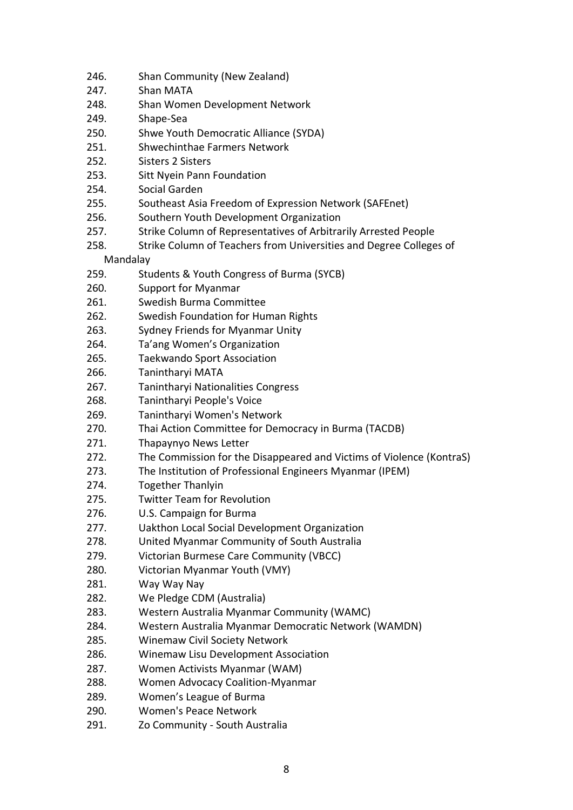- 246. Shan Community (New Zealand)
- 247. Shan MATA
- 248. Shan Women Development Network
- 249. Shape-Sea
- 250. Shwe Youth Democratic Alliance (SYDA)
- 251. Shwechinthae Farmers Network
- 252. Sisters 2 Sisters
- 253. Sitt Nyein Pann Foundation
- 254. Social Garden
- 255. Southeast Asia Freedom of Expression Network (SAFEnet)
- 256. Southern Youth Development Organization
- 257. Strike Column of Representatives of Arbitrarily Arrested People
- 258. Strike Column of Teachers from Universities and Degree Colleges of Mandalay
- 259. Students & Youth Congress of Burma (SYCB)
- 260. Support for Myanmar
- 261. Swedish Burma Committee
- 262. Swedish Foundation for Human Rights
- 263. Sydney Friends for Myanmar Unity
- 264. Ta'ang Women's Organization
- 265. Taekwando Sport Association
- 266. Tanintharyi MATA
- 267. Tanintharyi Nationalities Congress
- 268. Tanintharyi People's Voice
- 269. Tanintharyi Women's Network
- 270. Thai Action Committee for Democracy in Burma (TACDB)
- 271. Thapaynyo News Letter
- 272. The Commission for the Disappeared and Victims of Violence (KontraS)
- 273. The Institution of Professional Engineers Myanmar (IPEM)
- 274. Together Thanlyin
- 275. Twitter Team for Revolution
- 276. U.S. Campaign for Burma
- 277. Uakthon Local Social Development Organization
- 278. United Myanmar Community of South Australia
- 279. Victorian Burmese Care Community (VBCC)
- 280. Victorian Myanmar Youth (VMY)
- 281. Way Way Nay
- 282. We Pledge CDM (Australia)
- 283. Western Australia Myanmar Community (WAMC)
- 284. Western Australia Myanmar Democratic Network (WAMDN)
- 285. Winemaw Civil Society Network
- 286. Winemaw Lisu Development Association
- 287. Women Activists Myanmar (WAM)
- 288. Women Advocacy Coalition-Myanmar
- 289. Women's League of Burma
- 290. Women's Peace Network
- 291. Zo Community South Australia